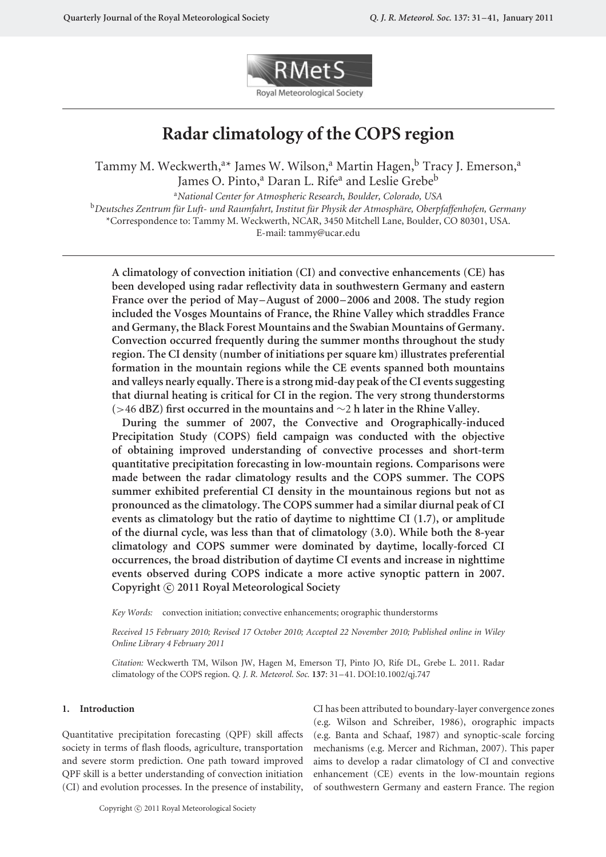

# **Radar climatology of the COPS region**

Tammy M. Weckwerth, $^{\mathrm{a}\star}$  James W. Wilson, $^{\mathrm{a}}$  Martin Hagen, $^{\mathrm{b}}$  Tracy J. Emerson, $^{\mathrm{a}}$ James O. Pinto,<sup>a</sup> Daran L. Rife<sup>a</sup> and Leslie Grebe<sup>b</sup>

<sup>a</sup>*National Center for Atmospheric Research, Boulder, Colorado, USA* <sup>b</sup>Deutsches Zentrum für Luft- und Raumfahrt, Institut für Physik der Atmosphäre, Oberpfaffenhofen, Germany \*Correspondence to: Tammy M. Weckwerth, NCAR, 3450 Mitchell Lane, Boulder, CO 80301, USA.

E-mail: tammy@ucar.edu

**A climatology of convection initiation (CI) and convective enhancements (CE) has been developed using radar reflectivity data in southwestern Germany and eastern France over the period of May–August of 2000–2006 and 2008. The study region included the Vosges Mountains of France, the Rhine Valley which straddles France and Germany, the Black Forest Mountains and the Swabian Mountains of Germany. Convection occurred frequently during the summer months throughout the study region. The CI density (number of initiations per square km) illustrates preferential formation in the mountain regions while the CE events spanned both mountains and valleys nearly equally. There is a strong mid-day peak of the CI events suggesting that diurnal heating is critical for CI in the region. The very strong thunderstorms (***>*46 **dBZ) first occurred in the mountains and** ∼2 **h later in the Rhine Valley.**

**During the summer of 2007, the Convective and Orographically-induced Precipitation Study (COPS) field campaign was conducted with the objective of obtaining improved understanding of convective processes and short-term quantitative precipitation forecasting in low-mountain regions. Comparisons were made between the radar climatology results and the COPS summer. The COPS summer exhibited preferential CI density in the mountainous regions but not as pronounced as the climatology. The COPS summer had a similar diurnal peak of CI events as climatology but the ratio of daytime to nighttime CI (1.7), or amplitude of the diurnal cycle, was less than that of climatology (3.0). While both the 8-year climatology and COPS summer were dominated by daytime, locally-forced CI occurrences, the broad distribution of daytime CI events and increase in nighttime events observed during COPS indicate a more active synoptic pattern in 2007. Copyright** -**c 2011 Royal Meteorological Society**

*Key Words:* convection initiation; convective enhancements; orographic thunderstorms

*Received 15 February 2010; Revised 17 October 2010; Accepted 22 November 2010; Published online in Wiley Online Library 4 February 2011*

*Citation:* Weckwerth TM, Wilson JW, Hagen M, Emerson TJ, Pinto JO, Rife DL, Grebe L. 2011. Radar climatology of the COPS region. *Q. J. R. Meteorol. Soc.* **137**: 31–41. DOI:10.1002/qj.747

## **1. Introduction**

Quantitative precipitation forecasting (QPF) skill affects society in terms of flash floods, agriculture, transportation and severe storm prediction. One path toward improved QPF skill is a better understanding of convection initiation (CI) and evolution processes. In the presence of instability, CI has been attributed to boundary-layer convergence zones (e.g. Wilson and Schreiber, 1986), orographic impacts (e.g. Banta and Schaaf, 1987) and synoptic-scale forcing mechanisms (e.g. Mercer and Richman, 2007). This paper aims to develop a radar climatology of CI and convective enhancement (CE) events in the low-mountain regions of southwestern Germany and eastern France. The region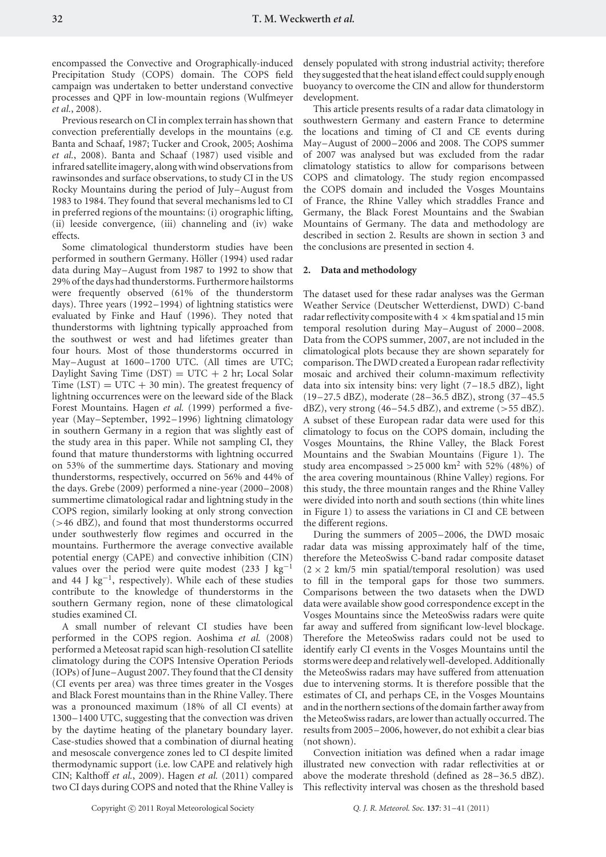encompassed the Convective and Orographically-induced Precipitation Study (COPS) domain. The COPS field campaign was undertaken to better understand convective processes and QPF in low-mountain regions (Wulfmeyer *et al.*, 2008).

Previous research on CI in complex terrain has shown that convection preferentially develops in the mountains (e.g. Banta and Schaaf, 1987; Tucker and Crook, 2005; Aoshima *et al.*, 2008). Banta and Schaaf (1987) used visible and infrared satellite imagery, along with wind observations from rawinsondes and surface observations, to study CI in the US Rocky Mountains during the period of July–August from 1983 to 1984. They found that several mechanisms led to CI in preferred regions of the mountains: (i) orographic lifting, (ii) leeside convergence, (iii) channeling and (iv) wake effects.

Some climatological thunderstorm studies have been performed in southern Germany. Höller (1994) used radar data during May–August from 1987 to 1992 to show that 29% of the days had thunderstorms. Furthermore hailstorms were frequently observed (61% of the thunderstorm days). Three years (1992–1994) of lightning statistics were evaluated by Finke and Hauf (1996). They noted that thunderstorms with lightning typically approached from the southwest or west and had lifetimes greater than four hours. Most of those thunderstorms occurred in May–August at 1600–1700 UTC. (All times are UTC; Daylight Saving Time  $(DST) = UTC + 2 hr$ ; Local Solar Time  $(LST) = UTC + 30$  min). The greatest frequency of lightning occurrences were on the leeward side of the Black Forest Mountains. Hagen *et al.* (1999) performed a fiveyear (May–September, 1992–1996) lightning climatology in southern Germany in a region that was slightly east of the study area in this paper. While not sampling CI, they found that mature thunderstorms with lightning occurred on 53% of the summertime days. Stationary and moving thunderstorms, respectively, occurred on 56% and 44% of the days. Grebe (2009) performed a nine-year (2000–2008) summertime climatological radar and lightning study in the COPS region, similarly looking at only strong convection (*>*46 dBZ), and found that most thunderstorms occurred under southwesterly flow regimes and occurred in the mountains. Furthermore the average convective available potential energy (CAPE) and convective inhibition (CIN) values over the period were quite modest (233 J kg<sup>-1</sup> and 44 J kg<sup>-1</sup>, respectively). While each of these studies contribute to the knowledge of thunderstorms in the southern Germany region, none of these climatological studies examined CI.

A small number of relevant CI studies have been performed in the COPS region. Aoshima *et al.* (2008) performed a Meteosat rapid scan high-resolution CI satellite climatology during the COPS Intensive Operation Periods (IOPs) of June–August 2007. They found that the CI density (CI events per area) was three times greater in the Vosges and Black Forest mountains than in the Rhine Valley. There was a pronounced maximum (18% of all CI events) at 1300–1400 UTC, suggesting that the convection was driven by the daytime heating of the planetary boundary layer. Case-studies showed that a combination of diurnal heating and mesoscale convergence zones led to CI despite limited thermodynamic support (i.e. low CAPE and relatively high CIN; Kalthoff *et al.*, 2009). Hagen *et al.* (2011) compared two CI days during COPS and noted that the Rhine Valley is densely populated with strong industrial activity; therefore they suggested that the heat island effect could supply enough buoyancy to overcome the CIN and allow for thunderstorm development.

This article presents results of a radar data climatology in southwestern Germany and eastern France to determine the locations and timing of CI and CE events during May–August of 2000–2006 and 2008. The COPS summer of 2007 was analysed but was excluded from the radar climatology statistics to allow for comparisons between COPS and climatology. The study region encompassed the COPS domain and included the Vosges Mountains of France, the Rhine Valley which straddles France and Germany, the Black Forest Mountains and the Swabian Mountains of Germany. The data and methodology are described in section 2. Results are shown in section 3 and the conclusions are presented in section 4.

#### **2. Data and methodology**

The dataset used for these radar analyses was the German Weather Service (Deutscher Wetterdienst, DWD) C-band radar reflectivity composite with  $4 \times 4$  km spatial and 15 min temporal resolution during May–August of 2000–2008. Data from the COPS summer, 2007, are not included in the climatological plots because they are shown separately for comparison. The DWD created a European radar reflectivity mosaic and archived their column-maximum reflectivity data into six intensity bins: very light (7–18.5 dBZ), light (19–27.5 dBZ), moderate (28–36.5 dBZ), strong (37–45.5 dBZ), very strong (46–54.5 dBZ), and extreme (*>*55 dBZ). A subset of these European radar data were used for this climatology to focus on the COPS domain, including the Vosges Mountains, the Rhine Valley, the Black Forest Mountains and the Swabian Mountains (Figure 1). The study area encompassed  $>$  25 000 km<sup>2</sup> with 52% (48%) of the area covering mountainous (Rhine Valley) regions. For this study, the three mountain ranges and the Rhine Valley were divided into north and south sections (thin white lines in Figure 1) to assess the variations in CI and CE between the different regions.

During the summers of 2005–2006, the DWD mosaic radar data was missing approximately half of the time, therefore the MeteoSwiss C-band radar composite dataset  $(2 \times 2 \text{ km/5 min spatial/temporal resolution})$  was used to fill in the temporal gaps for those two summers. Comparisons between the two datasets when the DWD data were available show good correspondence except in the Vosges Mountains since the MeteoSwiss radars were quite far away and suffered from significant low-level blockage. Therefore the MeteoSwiss radars could not be used to identify early CI events in the Vosges Mountains until the storms were deep and relatively well-developed. Additionally the MeteoSwiss radars may have suffered from attenuation due to intervening storms. It is therefore possible that the estimates of CI, and perhaps CE, in the Vosges Mountains and in the northern sections of the domain farther away from the MeteoSwiss radars, are lower than actually occurred. The results from 2005–2006, however, do not exhibit a clear bias (not shown).

Convection initiation was defined when a radar image illustrated new convection with radar reflectivities at or above the moderate threshold (defined as 28–36.5 dBZ). This reflectivity interval was chosen as the threshold based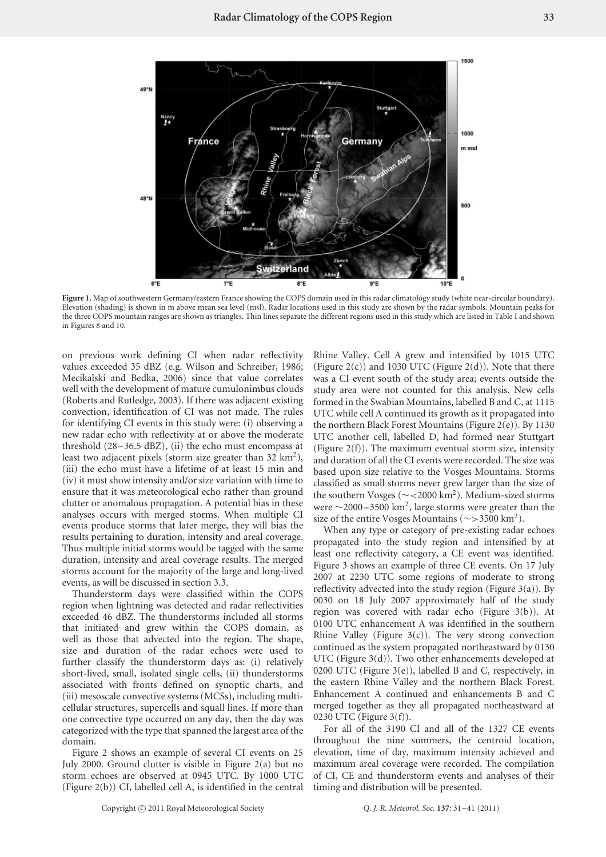

Figure 1. Map of southwestern Germany/eastern France showing the COPS domain used in this radar climatology study (white near-circular boundary). Elevation (shading) is shown in m above mean sea level (msl). Radar locations used in this study are shown by the radar symbols. Mountain peaks for the three COPS mountain ranges are shown as triangles. Thin lines separate the different regions used in this study which are listed in Table I and shown in Figures 8 and 10.

on previous work defining CI when radar reflectivity values exceeded 35 dBZ (e.g. Wilson and Schreiber, 1986; Mecikalski and Bedka, 2006) since that value correlates well with the development of mature cumulonimbus clouds (Roberts and Rutledge, 2003). If there was adjacent existing convection, identification of CI was not made. The rules for identifying CI events in this study were: (i) observing a new radar echo with reflectivity at or above the moderate threshold  $(28-36.5$  dBZ), (ii) the echo must encompass at least two adjacent pixels (storm size greater than  $32 \text{ km}^2$ ), (iii) the echo must have a lifetime of at least 15 min and (iv) it must show intensity and/or size variation with time to ensure that it was meteorological echo rather than ground clutter or anomalous propagation. A potential bias in these analyses occurs with merged storms. When multiple CI events produce storms that later merge, they will bias the results pertaining to duration, intensity and areal coverage. Thus multiple initial storms would be tagged with the same duration, intensity and areal coverage results. The merged storms account for the majority of the large and long-lived events, as will be discussed in section 3.3.

Thunderstorm days were classified within the COPS region when lightning was detected and radar reflectivities exceeded 46 dBZ. The thunderstorms included all storms that initiated and grew within the COPS domain, as well as those that advected into the region. The shape, size and duration of the radar echoes were used to further classify the thunderstorm days as: (i) relatively short-lived, small, isolated single cells, (ii) thunderstorms associated with fronts defined on synoptic charts, and (iii) mesoscale convective systems (MCSs), including multicellular structures, supercells and squall lines. If more than one convective type occurred on any day, then the day was categorized with the type that spanned the largest area of the domain.

Figure 2 shows an example of several CI events on 25 July 2000. Ground clutter is visible in Figure 2(a) but no storm echoes are observed at 0945 UTC. By 1000 UTC (Figure 2(b)) CI, labelled cell A, is identified in the central Rhine Valley. Cell A grew and intensified by 1015 UTC (Figure  $2(c)$ ) and 1030 UTC (Figure  $2(d)$ ). Note that there was a CI event south of the study area; events outside the study area were not counted for this analysis. New cells formed in the Swabian Mountains, labelled B and C, at 1115 UTC while cell A continued its growth as it propagated into the northern Black Forest Mountains (Figure 2(e)). By 1130 UTC another cell, labelled D, had formed near Stuttgart (Figure 2(f)). The maximum eventual storm size, intensity and duration of all the CI events were recorded. The size was based upon size relative to the Vosges Mountains. Storms classified as small storms never grew larger than the size of the southern Vosges (∼*<*2000 km2). Medium-sized storms were <sup>∼</sup>2000–3500 km2, large storms were greater than the size of the entire Vosges Mountains (∼*>*3500 km2).

When any type or category of pre-existing radar echoes propagated into the study region and intensified by at least one reflectivity category, a CE event was identified. Figure 3 shows an example of three CE events. On 17 July 2007 at 2230 UTC some regions of moderate to strong reflectivity advected into the study region (Figure 3(a)). By 0030 on 18 July 2007 approximately half of the study region was covered with radar echo (Figure 3(b)). At 0100 UTC enhancement A was identified in the southern Rhine Valley (Figure  $3(c)$ ). The very strong convection continued as the system propagated northeastward by 0130 UTC (Figure 3(d)). Two other enhancements developed at 0200 UTC (Figure  $3(e)$ ), labelled B and C, respectively, in the eastern Rhine Valley and the northern Black Forest. Enhancement A continued and enhancements B and C merged together as they all propagated northeastward at 0230 UTC (Figure 3(f)).

For all of the 3190 CI and all of the 1327 CE events throughout the nine summers, the centroid location, elevation, time of day, maximum intensity achieved and maximum areal coverage were recorded. The compilation of CI, CE and thunderstorm events and analyses of their timing and distribution will be presented.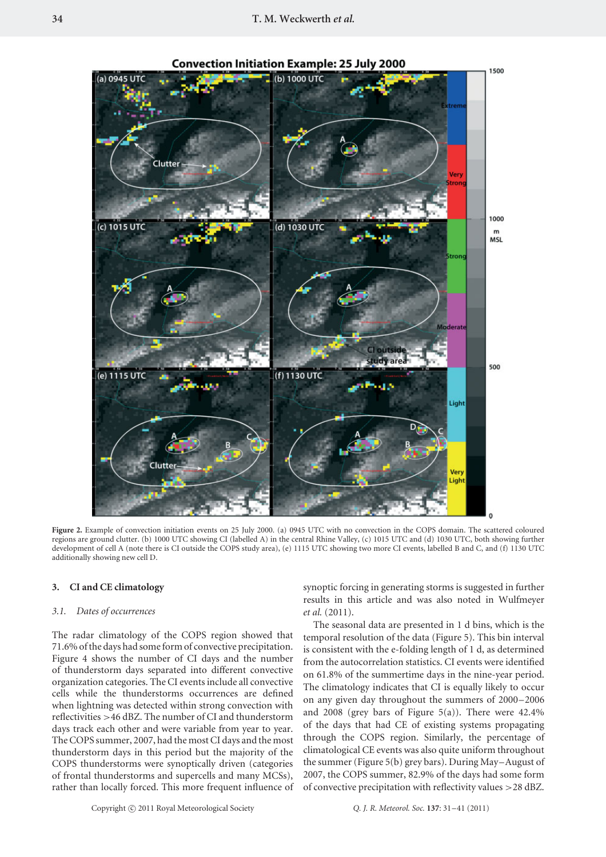

**Convection Initiation Example: 25 July 2000** 

Figure 2. Example of convection initiation events on 25 July 2000. (a) 0945 UTC with no convection in the COPS domain. The scattered coloured regions are ground clutter. (b) 1000 UTC showing CI (labelled A) in the central Rhine Valley, (c) 1015 UTC and (d) 1030 UTC, both showing further development of cell A (note there is CI outside the COPS study area), (e) 1115 UTC showing two more CI events, labelled B and C, and (f) 1130 UTC additionally showing new cell D.

#### **3. CI and CE climatology**

### *3.1. Dates of occurrences*

The radar climatology of the COPS region showed that 71.6% of the days had some form of convective precipitation. Figure 4 shows the number of CI days and the number of thunderstorm days separated into different convective organization categories. The CI events include all convective cells while the thunderstorms occurrences are defined when lightning was detected within strong convection with reflectivities *>*46 dBZ. The number of CI and thunderstorm days track each other and were variable from year to year. The COPS summer, 2007, had the most CI days and the most thunderstorm days in this period but the majority of the COPS thunderstorms were synoptically driven (categories of frontal thunderstorms and supercells and many MCSs), rather than locally forced. This more frequent influence of synoptic forcing in generating storms is suggested in further results in this article and was also noted in Wulfmeyer *et al.* (2011).

The seasonal data are presented in 1 d bins, which is the temporal resolution of the data (Figure 5). This bin interval is consistent with the e-folding length of 1 d, as determined from the autocorrelation statistics. CI events were identified on 61.8% of the summertime days in the nine-year period. The climatology indicates that CI is equally likely to occur on any given day throughout the summers of 2000–2006 and 2008 (grey bars of Figure 5(a)). There were  $42.4\%$ of the days that had CE of existing systems propagating through the COPS region. Similarly, the percentage of climatological CE events was also quite uniform throughout the summer (Figure 5(b) grey bars). During May–August of 2007, the COPS summer, 82.9% of the days had some form of convective precipitation with reflectivity values *>*28 dBZ.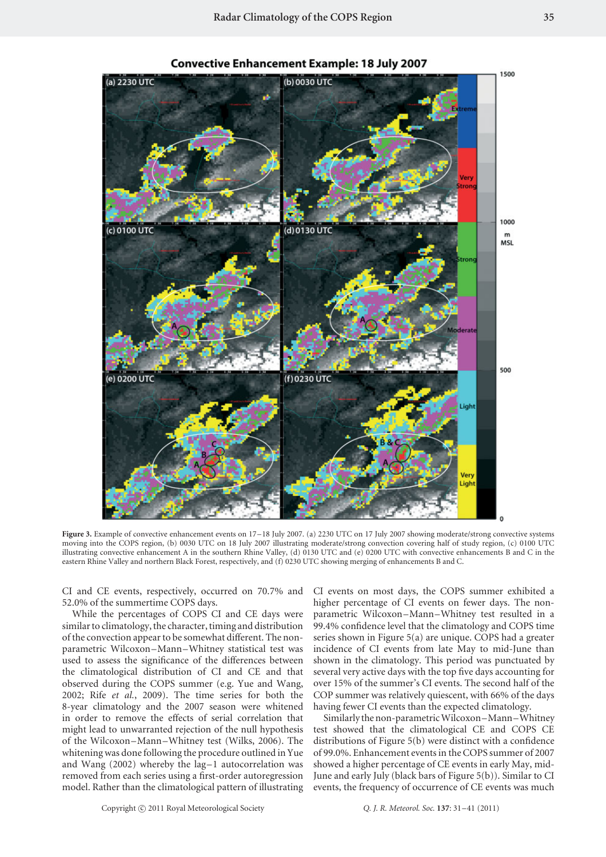

**Convective Enhancement Example: 18 July 2007** 

**Figure 3.** Example of convective enhancement events on 17–18 July 2007. (a) 2230 UTC on 17 July 2007 showing moderate/strong convective systems moving into the COPS region, (b) 0030 UTC on 18 July 2007 illustrating moderate/strong convection covering half of study region, (c) 0100 UTC illustrating convective enhancement A in the southern Rhine Valley, (d) 0130 UTC and (e) 0200 UTC with convective enhancements B and C in the eastern Rhine Valley and northern Black Forest, respectively, and (f) 0230 UTC showing merging of enhancements B and C.

CI and CE events, respectively, occurred on 70.7% and 52.0% of the summertime COPS days.

While the percentages of COPS CI and CE days were similar to climatology, the character, timing and distribution of the convection appear to be somewhat different. The nonparametric Wilcoxon–Mann–Whitney statistical test was used to assess the significance of the differences between the climatological distribution of CI and CE and that observed during the COPS summer (e.g. Yue and Wang, 2002; Rife *et al.*, 2009). The time series for both the 8-year climatology and the 2007 season were whitened in order to remove the effects of serial correlation that might lead to unwarranted rejection of the null hypothesis of the Wilcoxon–Mann–Whitney test (Wilks, 2006). The whitening was done following the procedure outlined in Yue and Wang (2002) whereby the lag–1 autocorrelation was removed from each series using a first-order autoregression model. Rather than the climatological pattern of illustrating CI events on most days, the COPS summer exhibited a higher percentage of CI events on fewer days. The nonparametric Wilcoxon–Mann–Whitney test resulted in a 99.4% confidence level that the climatology and COPS time series shown in Figure 5(a) are unique. COPS had a greater incidence of CI events from late May to mid-June than shown in the climatology. This period was punctuated by several very active days with the top five days accounting for over 15% of the summer's CI events. The second half of the COP summer was relatively quiescent, with 66% of the days having fewer CI events than the expected climatology.

Similarly the non-parametric Wilcoxon–Mann–Whitney test showed that the climatological CE and COPS CE distributions of Figure 5(b) were distinct with a confidence of 99.0%. Enhancement events in the COPS summer of 2007 showed a higher percentage of CE events in early May, mid-June and early July (black bars of Figure 5(b)). Similar to CI events, the frequency of occurrence of CE events was much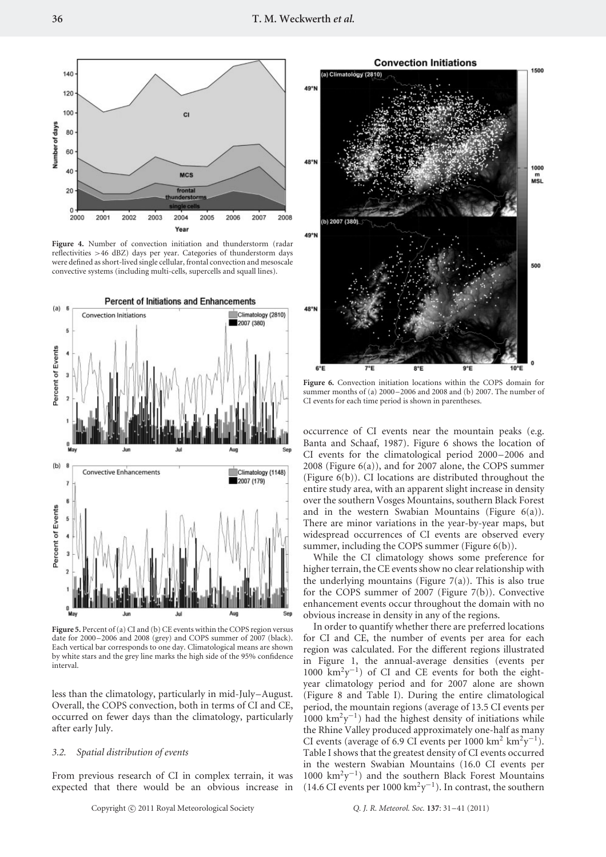

Figure 4. Number of convection initiation and thunderstorm (radar reflectivities *>*46 dBZ) days per year. Categories of thunderstorm days were defined as short-lived single cellular, frontal convection and mesoscale convective systems (including multi-cells, supercells and squall lines).



**Figure 5.** Percent of (a) CI and (b) CE events within the COPS region versus date for 2000–2006 and 2008 (grey) and COPS summer of 2007 (black). Each vertical bar corresponds to one day. Climatological means are shown by white stars and the grey line marks the high side of the 95% confidence interval.

less than the climatology, particularly in mid-July–August. Overall, the COPS convection, both in terms of CI and CE, occurred on fewer days than the climatology, particularly after early July.

#### *3.2. Spatial distribution of events*

From previous research of CI in complex terrain, it was expected that there would be an obvious increase in



**Figure 6.** Convection initiation locations within the COPS domain for summer months of (a) 2000–2006 and 2008 and (b) 2007. The number of CI events for each time period is shown in parentheses.

occurrence of CI events near the mountain peaks (e.g. Banta and Schaaf, 1987). Figure 6 shows the location of CI events for the climatological period 2000–2006 and 2008 (Figure 6(a)), and for 2007 alone, the COPS summer (Figure 6(b)). CI locations are distributed throughout the entire study area, with an apparent slight increase in density over the southern Vosges Mountains, southern Black Forest and in the western Swabian Mountains (Figure 6(a)). There are minor variations in the year-by-year maps, but widespread occurrences of CI events are observed every summer, including the COPS summer (Figure 6(b)).

While the CI climatology shows some preference for higher terrain, the CE events show no clear relationship with the underlying mountains (Figure  $7(a)$ ). This is also true for the COPS summer of 2007 (Figure 7(b)). Convective enhancement events occur throughout the domain with no obvious increase in density in any of the regions.

In order to quantify whether there are preferred locations for CI and CE, the number of events per area for each region was calculated. For the different regions illustrated in Figure 1, the annual-average densities (events per 1000  $\text{km}^2\text{y}^{-1}$ ) of CI and CE events for both the eightyear climatology period and for 2007 alone are shown (Figure 8 and Table I). During the entire climatological period, the mountain regions (average of 13.5 CI events per  $1000 \text{ km}^2 \text{y}^{-1}$ ) had the highest density of initiations while the Rhine Valley produced approximately one-half as many CI events (average of 6.9 CI events per 1000 km<sup>2</sup> km<sup>2</sup>y<sup>-1</sup>). Table I shows that the greatest density of CI events occurred in the western Swabian Mountains (16.0 CI events per 1000 km2y−1) and the southern Black Forest Mountains (14.6 CI events per 1000 km<sup>2</sup>y<sup>-1</sup>). In contrast, the southern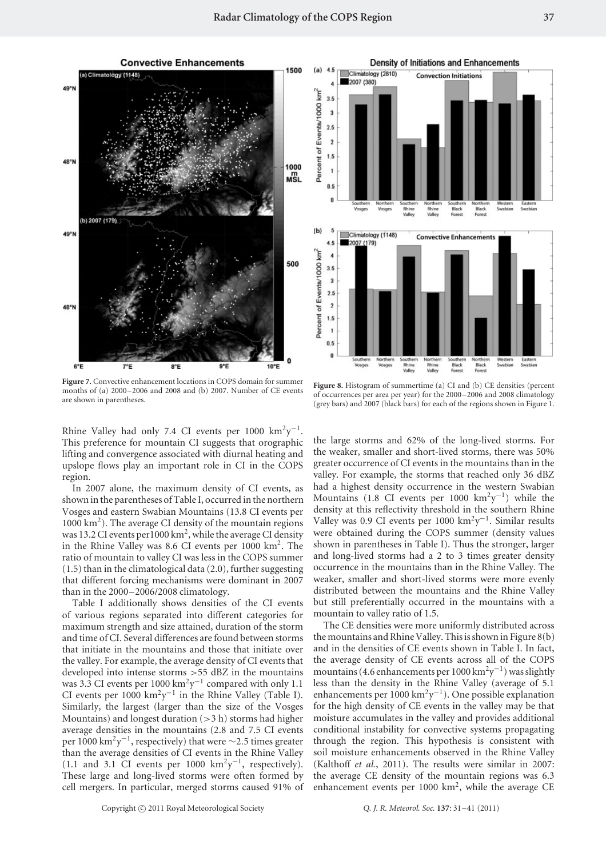**Convective Enhancements** 



**Figure 7.** Convective enhancement locations in COPS domain for summer months of (a) 2000–2006 and 2008 and (b) 2007. Number of CE events are shown in parentheses.

Rhine Valley had only 7.4 CI events per 1000 km<sup>2</sup>y<sup>-1</sup>. This preference for mountain CI suggests that orographic lifting and convergence associated with diurnal heating and upslope flows play an important role in CI in the COPS region.

In 2007 alone, the maximum density of CI events, as shown in the parentheses of Table I, occurred in the northern Vosges and eastern Swabian Mountains (13.8 CI events per 1000 km2). The average CI density of the mountain regions was 13.2 CI events per 1000 km<sup>2</sup>, while the average CI density in the Rhine Valley was 8.6 CI events per 1000 km<sup>2</sup>. The ratio of mountain to valley CI was less in the COPS summer (1.5) than in the climatological data (2.0), further suggesting that different forcing mechanisms were dominant in 2007 than in the 2000–2006/2008 climatology.

Table I additionally shows densities of the CI events of various regions separated into different categories for maximum strength and size attained, duration of the storm and time of CI. Several differences are found between storms that initiate in the mountains and those that initiate over the valley. For example, the average density of CI events that developed into intense storms *>*55 dBZ in the mountains was 3.3 CI events per 1000 km<sup>2</sup>y<sup>-1</sup> compared with only 1.1 CI events per 1000 km<sup>2</sup>y<sup>-1</sup> in the Rhine Valley (Table I). Similarly, the largest (larger than the size of the Vosges Mountains) and longest duration (*>*3 h) storms had higher average densities in the mountains (2.8 and 7.5 CI events per 1000 km2y−1, respectively) that were <sup>∼</sup>2*.*5 times greater than the average densities of CI events in the Rhine Valley (1.1 and 3.1 CI events per 1000 km<sup>2</sup>y<sup>-1</sup>, respectively). These large and long-lived storms were often formed by cell mergers. In particular, merged storms caused 91% of



**Figure 8.** Histogram of summertime (a) CI and (b) CE densities (percent of occurrences per area per year) for the 2000–2006 and 2008 climatology (grey bars) and 2007 (black bars) for each of the regions shown in Figure 1.

the large storms and 62% of the long-lived storms. For the weaker, smaller and short-lived storms, there was 50% greater occurrence of CI events in the mountains than in the valley. For example, the storms that reached only 36 dBZ had a highest density occurrence in the western Swabian Mountains (1.8 CI events per 1000 km<sup>2</sup>y<sup>-1</sup>) while the density at this reflectivity threshold in the southern Rhine Valley was 0.9 CI events per 1000 km<sup>2</sup>y<sup>-1</sup>. Similar results were obtained during the COPS summer (density values shown in parentheses in Table I). Thus the stronger, larger and long-lived storms had a 2 to 3 times greater density occurrence in the mountains than in the Rhine Valley. The weaker, smaller and short-lived storms were more evenly distributed between the mountains and the Rhine Valley but still preferentially occurred in the mountains with a mountain to valley ratio of 1.5.

The CE densities were more uniformly distributed across the mountains and Rhine Valley. This is shown in Figure 8(b) and in the densities of CE events shown in Table I. In fact, the average density of CE events across all of the COPS mountains (4.6 enhancements per 1000 km2y−1) was slightly less than the density in the Rhine Valley (average of 5.1 enhancements per 1000 km2y−1). One possible explanation for the high density of CE events in the valley may be that moisture accumulates in the valley and provides additional conditional instability for convective systems propagating through the region. This hypothesis is consistent with soil moisture enhancements observed in the Rhine Valley (Kalthoff *et al.*, 2011). The results were similar in 2007: the average CE density of the mountain regions was 6.3 enhancement events per 1000 km<sup>2</sup>, while the average CE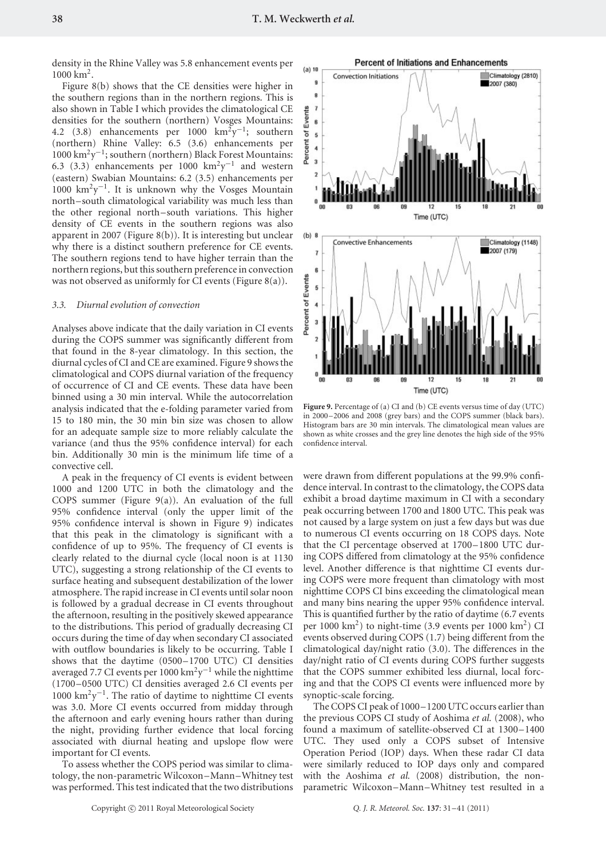density in the Rhine Valley was 5.8 enhancement events per 1000 km<sup>2</sup>.

Figure 8(b) shows that the CE densities were higher in the southern regions than in the northern regions. This is also shown in Table I which provides the climatological CE densities for the southern (northern) Vosges Mountains: 4.2 (3.8) enhancements per 1000 km<sup>2</sup>y<sup>-1</sup>; southern (northern) Rhine Valley: 6.5 (3.6) enhancements per 1000 km2y−1; southern (northern) Black Forest Mountains: 6.3 (3.3) enhancements per 1000 km<sup>2</sup>y<sup>-1</sup> and western (eastern) Swabian Mountains: 6.2 (3.5) enhancements per 1000 km<sup>2</sup>y<sup>-1</sup>. It is unknown why the Vosges Mountain north–south climatological variability was much less than the other regional north–south variations. This higher density of CE events in the southern regions was also apparent in 2007 (Figure 8(b)). It is interesting but unclear why there is a distinct southern preference for CE events. The southern regions tend to have higher terrain than the northern regions, but this southern preference in convection was not observed as uniformly for CI events (Figure  $8(a)$ ).

### *3.3. Diurnal evolution of convection*

Analyses above indicate that the daily variation in CI events during the COPS summer was significantly different from that found in the 8-year climatology. In this section, the diurnal cycles of CI and CE are examined. Figure 9 shows the climatological and COPS diurnal variation of the frequency of occurrence of CI and CE events. These data have been binned using a 30 min interval. While the autocorrelation analysis indicated that the e-folding parameter varied from 15 to 180 min, the 30 min bin size was chosen to allow for an adequate sample size to more reliably calculate the variance (and thus the 95% confidence interval) for each bin. Additionally 30 min is the minimum life time of a convective cell.

A peak in the frequency of CI events is evident between 1000 and 1200 UTC in both the climatology and the COPS summer (Figure 9(a)). An evaluation of the full 95% confidence interval (only the upper limit of the 95% confidence interval is shown in Figure 9) indicates that this peak in the climatology is significant with a confidence of up to 95%. The frequency of CI events is clearly related to the diurnal cycle (local noon is at 1130 UTC), suggesting a strong relationship of the CI events to surface heating and subsequent destabilization of the lower atmosphere. The rapid increase in CI events until solar noon is followed by a gradual decrease in CI events throughout the afternoon, resulting in the positively skewed appearance to the distributions. This period of gradually decreasing CI occurs during the time of day when secondary CI associated with outflow boundaries is likely to be occurring. Table I shows that the daytime (0500–1700 UTC) CI densities averaged 7.7 CI events per 1000 km<sup>2</sup>y<sup>-1</sup> while the nighttime (1700–0500 UTC) CI densities averaged 2.6 CI events per 1000 km2y−1. The ratio of daytime to nighttime CI events was 3.0. More CI events occurred from midday through the afternoon and early evening hours rather than during the night, providing further evidence that local forcing associated with diurnal heating and upslope flow were important for CI events.

To assess whether the COPS period was similar to climatology, the non-parametric Wilcoxon–Mann–Whitney test was performed. This test indicated that the two distributions



**Figure 9.** Percentage of (a) CI and (b) CE events versus time of day (UTC) in 2000–2006 and 2008 (grey bars) and the COPS summer (black bars). Histogram bars are 30 min intervals. The climatological mean values are shown as white crosses and the grey line denotes the high side of the 95% confidence interval.

were drawn from different populations at the 99.9% confidence interval. In contrast to the climatology, the COPS data exhibit a broad daytime maximum in CI with a secondary peak occurring between 1700 and 1800 UTC. This peak was not caused by a large system on just a few days but was due to numerous CI events occurring on 18 COPS days. Note that the CI percentage observed at 1700–1800 UTC during COPS differed from climatology at the 95% confidence level. Another difference is that nighttime CI events during COPS were more frequent than climatology with most nighttime COPS CI bins exceeding the climatological mean and many bins nearing the upper 95% confidence interval. This is quantified further by the ratio of daytime (6.7 events per  $1000 \text{ km}^2$ ) to night-time (3.9 events per  $1000 \text{ km}^2$ ) CI events observed during COPS (1.7) being different from the climatological day/night ratio (3.0). The differences in the day/night ratio of CI events during COPS further suggests that the COPS summer exhibited less diurnal, local forcing and that the COPS CI events were influenced more by synoptic-scale forcing.

The COPS CI peak of 1000–1200 UTC occurs earlier than the previous COPS CI study of Aoshima *et al.* (2008), who found a maximum of satellite-observed CI at 1300–1400 UTC. They used only a COPS subset of Intensive Operation Period (IOP) days. When these radar CI data were similarly reduced to IOP days only and compared with the Aoshima *et al.* (2008) distribution, the nonparametric Wilcoxon–Mann–Whitney test resulted in a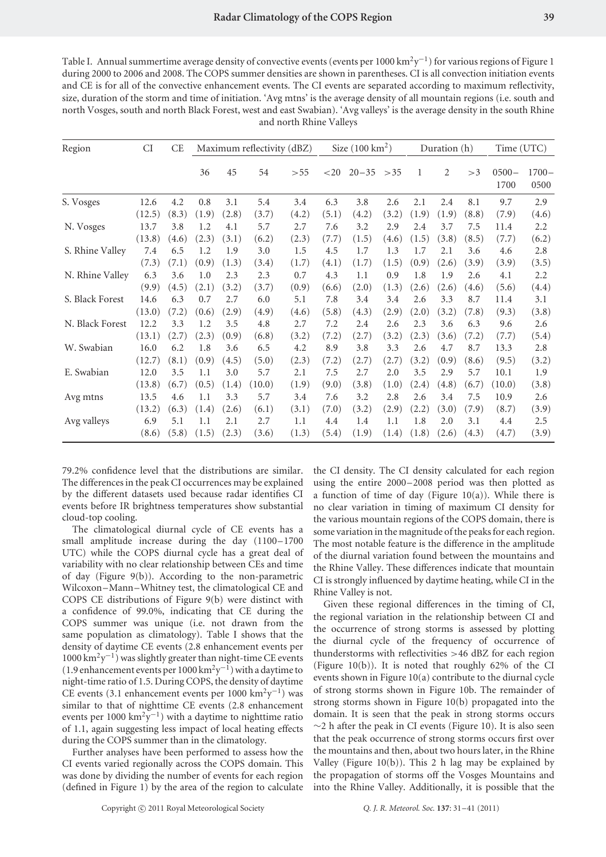Table I. Annual summertime average density of convective events (events per 1000 km<sup>2</sup>y<sup>-1</sup>) for various regions of Figure 1 during 2000 to 2006 and 2008. The COPS summer densities are shown in parentheses. CI is all convection initiation events and CE is for all of the convective enhancement events. The CI events are separated according to maximum reflectivity, size, duration of the storm and time of initiation. 'Avg mtns' is the average density of all mountain regions (i.e. south and north Vosges, south and north Black Forest, west and east Swabian). 'Avg valleys' is the average density in the south Rhine and north Rhine Valleys

| Region          | CI     | CE    | Maximum reflectivity (dBZ) |       |        |       | Size $(100 \text{ km}^2)$ |                |       | Duration (h) |                |       | Time (UTC)       |                  |
|-----------------|--------|-------|----------------------------|-------|--------|-------|---------------------------|----------------|-------|--------------|----------------|-------|------------------|------------------|
|                 |        |       | 36                         | 45    | 54     | > 55  | $<$ 20                    | $20 - 35 > 35$ |       | 1            | $\overline{2}$ | >3    | $0500 -$<br>1700 | $1700 -$<br>0500 |
| S. Vosges       | 12.6   | 4.2   | 0.8                        | 3.1   | 5.4    | 3.4   | 6.3                       | 3.8            | 2.6   | 2.1          | 2.4            | 8.1   | 9.7              | 2.9              |
|                 | (12.5) | (8.3) | (1.9)                      | (2.8) | (3.7)  | (4.2) | (5.1)                     | (4.2)          | (3.2) | (1.9)        | (1.9)          | (8.8) | (7.9)            | (4.6)            |
| N. Vosges       | 13.7   | 3.8   | 1.2                        | 4.1   | 5.7    | 2.7   | 7.6                       | 3.2            | 2.9   | 2.4          | 3.7            | 7.5   | 11.4             | 2.2              |
|                 | (13.8) | (4.6) | (2.3)                      | (3.1) | (6.2)  | (2.3) | (7.7)                     | (1.5)          | (4.6) | (1.5)        | (3.8)          | (8.5) | (7.7)            | (6.2)            |
| S. Rhine Valley | 7.4    | 6.5   | 1.2                        | 1.9   | 3.0    | 1.5   | 4.5                       | 1.7            | 1.3   | 1.7          | 2.1            | 3.6   | 4.6              | 2.8              |
|                 | (7.3)  | (7.1) | (0.9)                      | (1.3) | (3.4)  | (1.7) | (4.1)                     | (1.7)          | (1.5) | (0.9)        | (2.6)          | (3.9) | (3.9)            | (3.5)            |
| N. Rhine Valley | 6.3    | 3.6   | 1.0                        | 2.3   | 2.3    | 0.7   | 4.3                       | 1.1            | 0.9   | 1.8          | 1.9            | 2.6   | 4.1              | 2.2              |
|                 | (9.9)  | (4.5) | (2.1)                      | (3.2) | (3.7)  | (0.9) | (6.6)                     | (2.0)          | (1.3) | (2.6)        | (2.6)          | (4.6) | (5.6)            | (4.4)            |
| S. Black Forest | 14.6   | 6.3   | 0.7                        | 2.7   | 6.0    | 5.1   | 7.8                       | 3.4            | 3.4   | 2.6          | 3.3            | 8.7   | 11.4             | 3.1              |
|                 | (13.0) | (7.2) | (0.6)                      | (2.9) | (4.9)  | (4.6) | (5.8)                     | (4.3)          | (2.9) | (2.0)        | (3.2)          | (7.8) | (9.3)            | (3.8)            |
| N. Black Forest | 12.2   | 3.3   | 1.2                        | 3.5   | 4.8    | 2.7   | 7.2                       | 2.4            | 2.6   | 2.3          | 3.6            | 6.3   | 9.6              | 2.6              |
|                 | (13.1) | (2.7) | (2.3)                      | (0.9) | (6.8)  | (3.2) | (7.2)                     | (2.7)          | (3.2) | (2.3)        | (3.6)          | (7.2) | (7.7)            | (5.4)            |
| W. Swabian      | 16.0   | 6.2   | 1.8                        | 3.6   | 6.5    | 4.2   | 8.9                       | 3.8            | 3.3   | 2.6          | 4.7            | 8.7   | 13.3             | 2.8              |
|                 | (12.7) | (8.1) | (0.9)                      | (4.5) | (5.0)  | (2.3) | (7.2)                     | (2.7)          | (2.7) | (3.2)        | (0.9)          | (8.6) | (9.5)            | (3.2)            |
| E. Swabian      | 12.0   | 3.5   | 1.1                        | 3.0   | 5.7    | 2.1   | 7.5                       | 2.7            | 2.0   | 3.5          | 2.9            | 5.7   | 10.1             | 1.9              |
|                 | (13.8) | (6.7) | (0.5)                      | (1.4) | (10.0) | (1.9) | (9.0)                     | (3.8)          | (1.0) | (2.4)        | (4.8)          | (6.7) | (10.0)           | (3.8)            |
| Avg mtns        | 13.5   | 4.6   | 1.1                        | 3.3   | 5.7    | 3.4   | 7.6                       | 3.2            | 2.8   | 2.6          | 3.4            | 7.5   | 10.9             | 2.6              |
|                 | (13.2) | (6.3) | (1.4)                      | (2.6) | (6.1)  | (3.1) | (7.0)                     | (3.2)          | (2.9) | (2.2)        | (3.0)          | (7.9) | (8.7)            | (3.9)            |
| Avg valleys     | 6.9    | 5.1   | 1.1                        | 2.1   | 2.7    | 1.1   | 4.4                       | 1.4            | 1.1   | 1.8          | 2.0            | 3.1   | 4.4              | 2.5              |
|                 | (8.6)  | (5.8) | (1.5)                      | (2.3) | (3.6)  | (1.3) | (5.4)                     | (1.9)          | (1.4) | (1.8)        | (2.6)          | (4.3) | (4.7)            | (3.9)            |

79.2% confidence level that the distributions are similar. The differences in the peak CI occurrences may be explained by the different datasets used because radar identifies CI events before IR brightness temperatures show substantial cloud-top cooling.

The climatological diurnal cycle of CE events has a small amplitude increase during the day (1100–1700 UTC) while the COPS diurnal cycle has a great deal of variability with no clear relationship between CEs and time of day (Figure 9(b)). According to the non-parametric Wilcoxon–Mann–Whitney test, the climatological CE and COPS CE distributions of Figure 9(b) were distinct with a confidence of 99.0%, indicating that CE during the COPS summer was unique (i.e. not drawn from the same population as climatology). Table I shows that the density of daytime CE events (2.8 enhancement events per  $1000 \text{ km}^2 \text{y}^{-1}$ ) was slightly greater than night-time CE events (1.9 enhancement events per  $1000 \text{ km}^2 \text{y}^{-1}$ ) with a daytime to night-time ratio of 1.5. During COPS, the density of daytime CE events (3.1 enhancement events per 1000 km<sup>2</sup>y<sup>-1</sup>) was similar to that of nighttime CE events (2.8 enhancement events per 1000 km<sup>2</sup>y<sup>-1</sup>) with a daytime to nighttime ratio of 1.1, again suggesting less impact of local heating effects during the COPS summer than in the climatology.

Further analyses have been performed to assess how the CI events varied regionally across the COPS domain. This was done by dividing the number of events for each region (defined in Figure 1) by the area of the region to calculate

the CI density. The CI density calculated for each region using the entire 2000–2008 period was then plotted as a function of time of day (Figure 10(a)). While there is no clear variation in timing of maximum CI density for the various mountain regions of the COPS domain, there is some variation in the magnitude of the peaks for each region. The most notable feature is the difference in the amplitude of the diurnal variation found between the mountains and the Rhine Valley. These differences indicate that mountain CI is strongly influenced by daytime heating, while CI in the Rhine Valley is not.

Given these regional differences in the timing of CI, the regional variation in the relationship between CI and the occurrence of strong storms is assessed by plotting the diurnal cycle of the frequency of occurrence of thunderstorms with reflectivities *>*46 dBZ for each region (Figure 10(b)). It is noted that roughly 62% of the CI events shown in Figure 10(a) contribute to the diurnal cycle of strong storms shown in Figure 10b. The remainder of strong storms shown in Figure 10(b) propagated into the domain. It is seen that the peak in strong storms occurs  $\sim$ 2 h after the peak in CI events (Figure 10). It is also seen that the peak occurrence of strong storms occurs first over the mountains and then, about two hours later, in the Rhine Valley (Figure 10(b)). This 2 h lag may be explained by the propagation of storms off the Vosges Mountains and into the Rhine Valley. Additionally, it is possible that the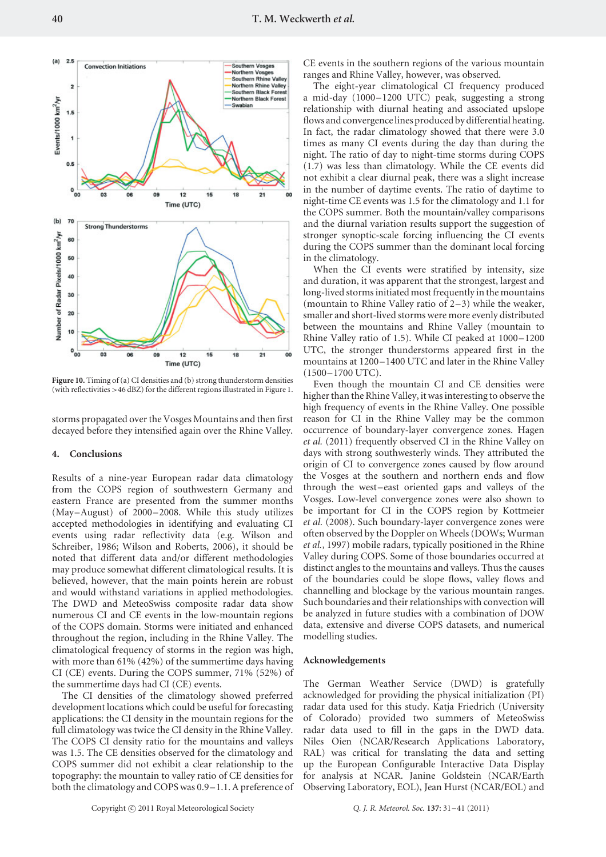

**Figure 10.** Timing of (a) CI densities and (b) strong thunderstorm densities (with reflectivities *>*46 dBZ) for the different regions illustrated in Figure 1.

storms propagated over the Vosges Mountains and then first decayed before they intensified again over the Rhine Valley.

#### **4. Conclusions**

Results of a nine-year European radar data climatology from the COPS region of southwestern Germany and eastern France are presented from the summer months (May–August) of 2000–2008. While this study utilizes accepted methodologies in identifying and evaluating CI events using radar reflectivity data (e.g. Wilson and Schreiber, 1986; Wilson and Roberts, 2006), it should be noted that different data and/or different methodologies may produce somewhat different climatological results. It is believed, however, that the main points herein are robust and would withstand variations in applied methodologies. The DWD and MeteoSwiss composite radar data show numerous CI and CE events in the low-mountain regions of the COPS domain. Storms were initiated and enhanced throughout the region, including in the Rhine Valley. The climatological frequency of storms in the region was high, with more than 61% (42%) of the summertime days having CI (CE) events. During the COPS summer, 71% (52%) of the summertime days had CI (CE) events.

The CI densities of the climatology showed preferred development locations which could be useful for forecasting applications: the CI density in the mountain regions for the full climatology was twice the CI density in the Rhine Valley. The COPS CI density ratio for the mountains and valleys was 1.5. The CE densities observed for the climatology and COPS summer did not exhibit a clear relationship to the topography: the mountain to valley ratio of CE densities for both the climatology and COPS was 0.9–1.1. A preference of

CE events in the southern regions of the various mountain ranges and Rhine Valley, however, was observed.

The eight-year climatological CI frequency produced a mid-day (1000–1200 UTC) peak, suggesting a strong relationship with diurnal heating and associated upslope flows and convergence lines produced by differential heating. In fact, the radar climatology showed that there were 3.0 times as many CI events during the day than during the night. The ratio of day to night-time storms during COPS (1.7) was less than climatology. While the CE events did not exhibit a clear diurnal peak, there was a slight increase in the number of daytime events. The ratio of daytime to night-time CE events was 1.5 for the climatology and 1.1 for the COPS summer. Both the mountain/valley comparisons and the diurnal variation results support the suggestion of stronger synoptic-scale forcing influencing the CI events during the COPS summer than the dominant local forcing in the climatology.

When the CI events were stratified by intensity, size and duration, it was apparent that the strongest, largest and long-lived storms initiated most frequently in the mountains (mountain to Rhine Valley ratio of 2–3) while the weaker, smaller and short-lived storms were more evenly distributed between the mountains and Rhine Valley (mountain to Rhine Valley ratio of 1.5). While CI peaked at 1000–1200 UTC, the stronger thunderstorms appeared first in the mountains at 1200–1400 UTC and later in the Rhine Valley (1500–1700 UTC).

Even though the mountain CI and CE densities were higher than the Rhine Valley, it was interesting to observe the high frequency of events in the Rhine Valley. One possible reason for CI in the Rhine Valley may be the common occurrence of boundary-layer convergence zones. Hagen *et al.* (2011) frequently observed CI in the Rhine Valley on days with strong southwesterly winds. They attributed the origin of CI to convergence zones caused by flow around the Vosges at the southern and northern ends and flow through the west–east oriented gaps and valleys of the Vosges. Low-level convergence zones were also shown to be important for CI in the COPS region by Kottmeier *et al.* (2008). Such boundary-layer convergence zones were often observed by the Doppler on Wheels (DOWs; Wurman *et al.*, 1997) mobile radars, typically positioned in the Rhine Valley during COPS. Some of those boundaries occurred at distinct angles to the mountains and valleys. Thus the causes of the boundaries could be slope flows, valley flows and channelling and blockage by the various mountain ranges. Such boundaries and their relationships with convection will be analyzed in future studies with a combination of DOW data, extensive and diverse COPS datasets, and numerical modelling studies.

#### **Acknowledgements**

The German Weather Service (DWD) is gratefully acknowledged for providing the physical initialization (PI) radar data used for this study. Katja Friedrich (University of Colorado) provided two summers of MeteoSwiss radar data used to fill in the gaps in the DWD data. Niles Oien (NCAR/Research Applications Laboratory, RAL) was critical for translating the data and setting up the European Configurable Interactive Data Display for analysis at NCAR. Janine Goldstein (NCAR/Earth Observing Laboratory, EOL), Jean Hurst (NCAR/EOL) and